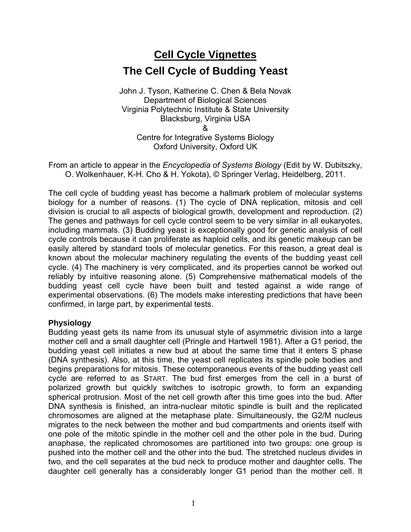# **Cell Cycle Vignettes The Cell Cycle of Budding Yeast**

John J. Tyson, Katherine C. Chen & Bela Novak Department of Biological Sciences Virginia Polytechnic Institute & State University Blacksburg, Virginia USA & Centre for Integrative Systems Biology Oxford University, Oxford UK

From an article to appear in the *Encyclopedia of Systems Biology* (Edit by W. Dubitszky, O. Wolkenhauer, K-H. Cho & H. Yokota), © Springer Verlag, Heidelberg, 2011.

The cell cycle of budding yeast has become a hallmark problem of molecular systems biology for a number of reasons. (1) The cycle of DNA replication, mitosis and cell division is crucial to all aspects of biological growth, development and reproduction. (2) The genes and pathways for cell cycle control seem to be very similar in all eukaryotes, including mammals. (3) Budding yeast is exceptionally good for genetic analysis of cell cycle controls because it can proliferate as haploid cells, and its genetic makeup can be easily altered by standard tools of molecular genetics. For this reason, a great deal is known about the molecular machinery regulating the events of the budding yeast cell cycle. (4) The machinery is very complicated, and its properties cannot be worked out reliably by intuitive reasoning alone. (5) Comprehensive mathematical models of the budding yeast cell cycle have been built and tested against a wide range of experimental observations. (6) The models make interesting predictions that have been confirmed, in large part, by experimental tests.

### **Physiology**

Budding yeast gets its name from its unusual style of asymmetric division into a large mother cell and a small daughter cell (Pringle and Hartwell 1981). After a G1 period, the budding yeast cell initiates a new bud at about the same time that it enters S phase (DNA synthesis). Also, at this time, the yeast cell replicates its spindle pole bodies and begins preparations for mitosis. These cotemporaneous events of the budding yeast cell cycle are referred to as START. The bud first emerges from the cell in a burst of polarized growth but quickly switches to isotropic growth, to form an expanding spherical protrusion. Most of the net cell growth after this time goes into the bud. After DNA synthesis is finished, an intra-nuclear mitotic spindle is built and the replicated chromosomes are aligned at the metaphase plate. Simultaneously, the G2/M nucleus migrates to the neck between the mother and bud compartments and orients itself with one pole of the mitotic spindle in the mother cell and the other pole in the bud. During anaphase, the replicated chromosomes are partitioned into two groups: one group is pushed into the mother cell and the other into the bud. The stretched nucleus divides in two, and the cell separates at the bud neck to produce mother and daughter cells. The daughter cell generally has a considerably longer G1 period than the mother cell. It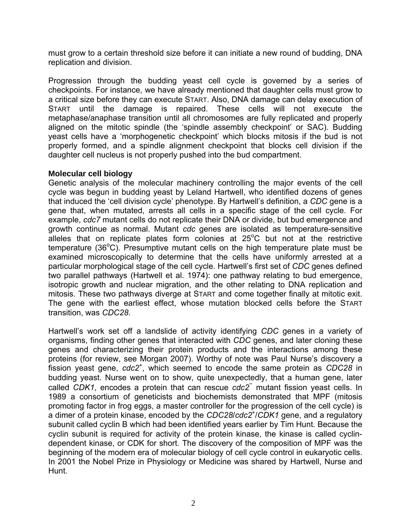must grow to a certain threshold size before it can initiate a new round of budding, DNA replication and division.

Progression through the budding yeast cell cycle is governed by a series of checkpoints. For instance, we have already mentioned that daughter cells must grow to a critical size before they can execute START. Also, DNA damage can delay execution of START until the damage is repaired. These cells will not execute the metaphase/anaphase transition until all chromosomes are fully replicated and properly aligned on the mitotic spindle (the 'spindle assembly checkpoint' or SAC). Budding yeast cells have a 'morphogenetic checkpoint' which blocks mitosis if the bud is not properly formed, and a spindle alignment checkpoint that blocks cell division if the daughter cell nucleus is not properly pushed into the bud compartment.

### **Molecular cell biology**

Genetic analysis of the molecular machinery controlling the major events of the cell cycle was begun in budding yeast by Leland Hartwell, who identified dozens of genes that induced the 'cell division cycle' phenotype. By Hartwell's definition, a *CDC* gene is a gene that, when mutated, arrests all cells in a specific stage of the cell cycle. For example, *cdc7* mutant cells do not replicate their DNA or divide, but bud emergence and growth continue as normal. Mutant *cdc* genes are isolated as temperature-sensitive alleles that on replicate plates form colonies at  $25^{\circ}$ C but not at the restrictive temperature (36 $^{\circ}$ C). Presumptive mutant cells on the high temperature plate must be examined microscopically to determine that the cells have uniformly arrested at a particular morphological stage of the cell cycle. Hartwell's first set of *CDC* genes defined two parallel pathways (Hartwell et al. 1974): one pathway relating to bud emergence, isotropic growth and nuclear migration, and the other relating to DNA replication and mitosis. These two pathways diverge at START and come together finally at mitotic exit. The gene with the earliest effect, whose mutation blocked cells before the START transition, was *CDC28*.

Hartwell's work set off a landslide of activity identifying *CDC* genes in a variety of organisms, finding other genes that interacted with *CDC* genes, and later cloning these genes and characterizing their protein products and the interactions among these proteins (for review, see Morgan 2007). Worthy of note was Paul Nurse's discovery a fission yeast gene, *cdc2*<sup>+</sup> , which seemed to encode the same protein as *CDC28* in budding yeast. Nurse went on to show, quite unexpectedly, that a human gene, later called *CDK1*, encodes a protein that can rescue *cdc2*<sup>−</sup> mutant fission yeast cells. In 1989 a consortium of geneticists and biochemists demonstrated that MPF (mitosis promoting factor in frog eggs, a master controller for the progression of the cell cycle) is a dimer of a protein kinase, encoded by the *CDC28*/*cdc2*<sup>+</sup> /*CDK1* gene, and a regulatory subunit called cyclin B which had been identified years earlier by Tim Hunt. Because the cyclin subunit is required for activity of the protein kinase, the kinase is called cyclindependent kinase, or CDK for short. The discovery of the composition of MPF was the beginning of the modern era of molecular biology of cell cycle control in eukaryotic cells. In 2001 the Nobel Prize in Physiology or Medicine was shared by Hartwell, Nurse and Hunt.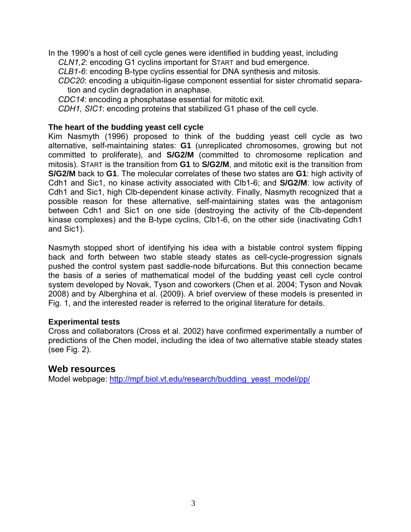In the 1990's a host of cell cycle genes were identified in budding yeast, including *CLN1,2*: encoding G1 cyclins important for START and bud emergence.

*CLB1-6*: encoding B-type cyclins essential for DNA synthesis and mitosis.

*CDC20*: encoding a ubiquitin-ligase component essential for sister chromatid separation and cyclin degradation in anaphase.

*CDC14*: encoding a phosphatase essential for mitotic exit.

*CDH1, SIC1*: encoding proteins that stabilized G1 phase of the cell cycle.

#### **The heart of the budding yeast cell cycle**

Kim Nasmyth (1996) proposed to think of the budding yeast cell cycle as two alternative, self-maintaining states: **G1** (unreplicated chromosomes, growing but not committed to proliferate), and **S/G2/M** (committed to chromosome replication and mitosis). START is the transition from **G1** to **S/G2/M**, and mitotic exit is the transition from **S/G2/M** back to **G1**. The molecular correlates of these two states are **G1**: high activity of Cdh1 and Sic1, no kinase activity associated with Clb1-6; and **S/G2/M**: low activity of Cdh1 and Sic1, high Clb-dependent kinase activity. Finally, Nasmyth recognized that a possible reason for these alternative, self-maintaining states was the antagonism between Cdh1 and Sic1 on one side (destroying the activity of the Clb-dependent kinase complexes) and the B-type cyclins, Clb1-6, on the other side (inactivating Cdh1 and Sic1).

Nasmyth stopped short of identifying his idea with a bistable control system flipping back and forth between two stable steady states as cell-cycle-progression signals pushed the control system past saddle-node bifurcations. But this connection became the basis of a series of mathematical model of the budding yeast cell cycle control system developed by Novak, Tyson and coworkers (Chen et al. 2004; Tyson and Novak 2008) and by Alberghina et al. (2009). A brief overview of these models is presented in Fig. 1, and the interested reader is referred to the original literature for details.

#### **Experimental tests**

Cross and collaborators (Cross et al. 2002) have confirmed experimentally a number of predictions of the Chen model, including the idea of two alternative stable steady states (see Fig. 2).

### **Web resources**

Model webpage: http://mpf.biol.vt.edu/research/budding\_yeast\_model/pp/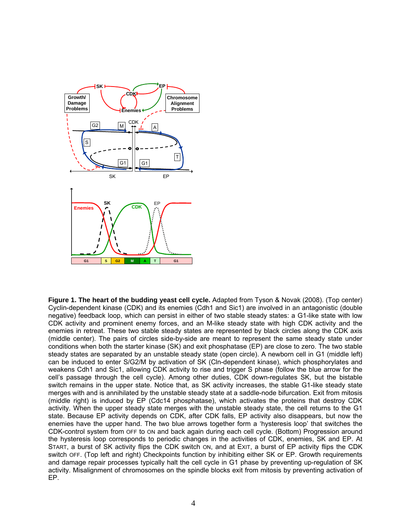

**Figure 1. The heart of the budding yeast cell cycle.** Adapted from Tyson & Novak (2008). (Top center) Cyclin-dependent kinase (CDK) and its enemies (Cdh1 and Sic1) are involved in an antagonistic (double negative) feedback loop, which can persist in either of two stable steady states: a G1-like state with low CDK activity and prominent enemy forces, and an M-like steady state with high CDK activity and the enemies in retreat. These two stable steady states are represented by black circles along the CDK axis (middle center). The pairs of circles side-by-side are meant to represent the same steady state under conditions when both the starter kinase (SK) and exit phosphatase (EP) are close to zero. The two stable steady states are separated by an unstable steady state (open circle). A newborn cell in G1 (middle left) can be induced to enter S/G2/M by activation of SK (Cln-dependent kinase), which phosphorylates and weakens Cdh1 and Sic1, allowing CDK activity to rise and trigger S phase (follow the blue arrow for the cell's passage through the cell cycle). Among other duties, CDK down-regulates SK, but the bistable switch remains in the upper state. Notice that, as SK activity increases, the stable G1-like steady state merges with and is annihilated by the unstable steady state at a saddle-node bifurcation. Exit from mitosis (middle right) is induced by EP (Cdc14 phosphatase), which activates the proteins that destroy CDK activity. When the upper steady state merges with the unstable steady state, the cell returns to the G1 state. Because EP activity depends on CDK, after CDK falls, EP activity also disappears, but now the enemies have the upper hand. The two blue arrows together form a 'hysteresis loop' that switches the CDK-control system from OFF to ON and back again during each cell cycle. (Bottom) Progression around the hysteresis loop corresponds to periodic changes in the activities of CDK, enemies, SK and EP. At START, a burst of SK activity flips the CDK switch ON, and at EXIT, a burst of EP activity flips the CDK switch OFF. (Top left and right) Checkpoints function by inhibiting either SK or EP. Growth requirements and damage repair processes typically halt the cell cycle in G1 phase by preventing up-regulation of SK activity. Misalignment of chromosomes on the spindle blocks exit from mitosis by preventing activation of EP.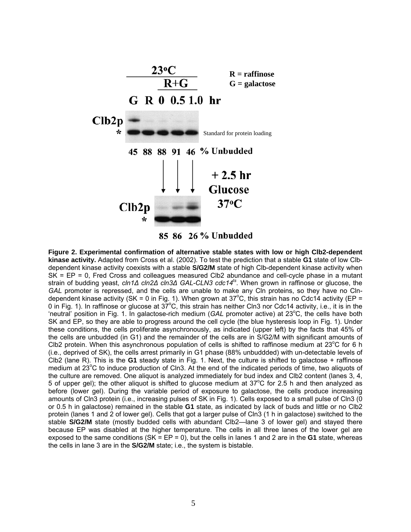



**Figure 2. Experimental confirmation of alternative stable states with low or high Clb2-dependent kinase activity.** Adapted from Cross et al. (2002). To test the prediction that a stable **G1** state of low Clbdependent kinase activity coexists with a stable **S/G2/M** state of high Clb-dependent kinase activity when SK = EP = 0, Fred Cross and colleagues measured Clb2 abundance and cell-cycle phase in a mutant strain of budding yeast, *cln1Δ cln2Δ cln3Δ GAL-CLN3 cdc14ts*. When grown in raffinose or glucose, the *GAL* promoter is repressed, and the cells are unable to make any Cln proteins, so they have no Clndependent kinase activity (SK = 0 in Fig. 1). When grown at 37°C, this strain has no Cdc14 activity (EP = 0 in Fig. 1). In raffinose or glucose at  $37^{\circ}$ C, this strain has neither Cln3 nor Cdc14 activity, i.e., it is in the 'neutral' position in Fig. 1. In galactose-rich medium (GAL promoter active) at 23°C, the cells have both SK and EP, so they are able to progress around the cell cycle (the blue hysteresis loop in Fig. 1). Under these conditions, the cells proliferate asynchronously, as indicated (upper left) by the facts that 45% of the cells are unbudded (in G1) and the remainder of the cells are in S/G2/M with significant amounts of CIb2 protein. When this asynchronous population of cells is shifted to raffinose medium at 23 $^{\circ}$ C for 6 h (i.e., deprived of SK), the cells arrest primarily in G1 phase (88% unbuddded) with un-detectable levels of Clb2 (lane R). This is the **G1** steady state in Fig. 1. Next, the culture is shifted to galactose + raffinose medium at 23°C to induce production of Cln3. At the end of the indicated periods of time, two aliquots of the culture are removed. One aliquot is analyzed immediately for bud index and Clb2 content (lanes 3, 4, 5 of upper gel); the other aliquot is shifted to glucose medium at  $37^{\circ}$ C for 2.5 h and then analyzed as before (lower gel). During the variable period of exposure to galactose, the cells produce increasing amounts of Cln3 protein (i.e., increasing pulses of SK in Fig. 1). Cells exposed to a small pulse of Cln3 (0 or 0.5 h in galactose) remained in the stable **G1** state, as indicated by lack of buds and little or no Clb2 protein (lanes 1 and 2 of lower gel). Cells that got a larger pulse of Cln3 (1 h in galactose) switched to the stable **S/G2/M** state (mostly budded cells with abundant Clb2—lane 3 of lower gel) and stayed there because EP was disabled at the higher temperature. The cells in all three lanes of the lower gel are exposed to the same conditions  $(SK = EP = 0)$ , but the cells in lanes 1 and 2 are in the **G1** state, whereas the cells in lane 3 are in the **S/G2/M** state; i.e., the system is bistable.